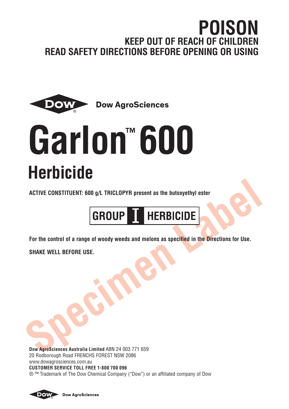# **POISON KEEP OUT OF REACH OF CHILDREN READ SAFETY DIRECTIONS BEFORE OPENING OR USING**



# **Garlon™ 600 Herbicide**

**ACTIVE CONSTITUENT: 600 g/L TRICLOPYR present as the butoxyethyl ester**



**For the control of a range of woody weeds and melons as specified in the Directions for Use.**

**SHAKE WELL BEFORE USE.**

**Dow AgroSciences Australia Limited** ABN 24 003 771 659 20 Rodborough Road FRENCHS FOREST NSW 2086 www.dowagrosciences.com.au **CUSTOMER SERVICE TOLL FREE 1-800 700 096** ® ™ Trademark of The Dow Chemical Company ("Dow") or an affiliated company of Dow



**Dow AgroSciences**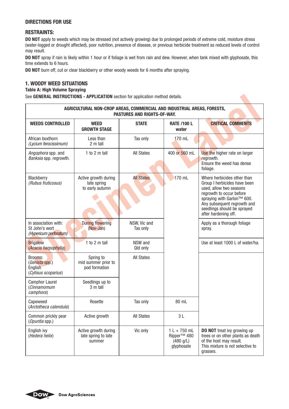### **DIRECTIONS FOR USE**

# **RESTRAINTS:**

**DO NOT** apply to weeds which may be stressed (not actively growing) due to prolonged periods of extreme cold, moisture stress (water-logged or drought affected), poor nutrition, presence of disease, or previous herbicide treatment as reduced levels of control may result.

**DO NOT** spray if rain is likely within 1 hour or if foliage is wet from rain and dew. However, when tank mixed with glyphosate, this time extends to 6 hours.

**DO NOT** burn off, cut or clear blackberry or other woody weeds for 6 months after spraying.

#### **1. WOODY WEED SITUATIONS**

#### **Table A: High Volume Spraying**

|                                                                  | AGRICULTURAL NON-CROP AREAS, COMMERCIAL AND INDUSTRIAL AREAS, FORESTS,<br>PASTURES AND RIGHTS-OF-WAY. |                          |                                                                      |                                                                                                                                                                                                                                        |  |  |
|------------------------------------------------------------------|-------------------------------------------------------------------------------------------------------|--------------------------|----------------------------------------------------------------------|----------------------------------------------------------------------------------------------------------------------------------------------------------------------------------------------------------------------------------------|--|--|
| <b>WEEDS CONTROLLED</b>                                          | <b>WEED</b><br><b>GROWTH STAGE</b>                                                                    | <b>STATE</b>             | <b>RATE /100 L</b><br>water                                          | <b>CRITICAL COMMENTS</b>                                                                                                                                                                                                               |  |  |
| African boxthorn<br>(Lycium ferocissimum)                        | Less than<br>2 m tall                                                                                 | Tas only                 | 170 mL                                                               |                                                                                                                                                                                                                                        |  |  |
| Angophora spp. and<br>Banksia spp. regrowth.                     | 1 to 2 $m$ tall                                                                                       | <b>All States</b>        | 400 or 560 mL                                                        | Use the higher rate on larger<br>regrowth.<br>Ensure the weed has dense<br>foliage.                                                                                                                                                    |  |  |
| Blackberry<br>(Rubus fruticosus)                                 | Active growth during<br>late spring<br>to early autumn                                                | <b>All States</b>        | $170$ mL                                                             | Where herbicides other than<br>Group I herbicides have been<br>used, allow two seasons<br>regrowth to occur before<br>spraving with Garlon™ 600.<br>Any subsequent regrowth and<br>seedlings should be sprayed<br>after hardening off. |  |  |
| In association with:<br>St John's wort<br>(Hypericum perforatum) | <b>During flowering</b><br>(Nov-Jan)                                                                  | NSW, Vic and<br>Tas only |                                                                      | Apply as a thorough foliage<br>spray.                                                                                                                                                                                                  |  |  |
| <b>Brigalow</b><br>(Acacia harpophylla)                          | 1 to 2 $m$ tall                                                                                       | NSW and<br>Qld only      |                                                                      | Use at least 1000 L of water/ha.                                                                                                                                                                                                       |  |  |
| Brooms:<br>(Genista spp.)<br>English<br>(Cytisus scoparius)      | Spring to<br>mid summer prior to<br>pod formation                                                     | <b>All States</b>        |                                                                      |                                                                                                                                                                                                                                        |  |  |
| <b>Camphor Laurel</b><br>(Cinnamomum<br>camphora)                | Seedlings up to<br>3 m tall                                                                           |                          |                                                                      |                                                                                                                                                                                                                                        |  |  |
| Capeweed<br>(Arctotheca calendula)                               | Rosette                                                                                               | Tas only                 | 80 mL                                                                |                                                                                                                                                                                                                                        |  |  |
| Common prickly pear<br>(Opuntia spp.)                            | Active growth                                                                                         | <b>All States</b>        | 3L                                                                   |                                                                                                                                                                                                                                        |  |  |
| English ivy<br>(Hedera helix)                                    | Active growth during<br>late spring to late<br>summer                                                 | Vic only                 | $1 L + 750$ mL<br>Ripper <sup>™</sup> 480<br>(480 q/L)<br>qlyphosate | <b>DO NOT</b> treat ivy growing up<br>trees or on other plants as death<br>of the host may result.<br>This mixture is not selective to<br>grasses.                                                                                     |  |  |

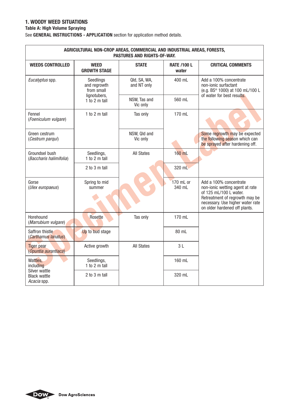# **1. WOODY WEED SITUATIONS**

# **Table A: High Volume Spraying**

|                                           | AGRICULTURAL NON-CROP AREAS, COMMERCIAL AND INDUSTRIAL AREAS, FORESTS,<br><b>PASTURES AND RIGHTS-OF-WAY.</b> |                             |                             |                                                                                                                                                                                            |  |  |
|-------------------------------------------|--------------------------------------------------------------------------------------------------------------|-----------------------------|-----------------------------|--------------------------------------------------------------------------------------------------------------------------------------------------------------------------------------------|--|--|
| <b>WEEDS CONTROLLED</b>                   | WEED<br><b>GROWTH STAGE</b>                                                                                  | <b>STATE</b>                | <b>RATE /100 L</b><br>water | <b>CRITICAL COMMENTS</b>                                                                                                                                                                   |  |  |
| Eucalyptus spp.                           | Seedlings<br>and regrowth<br>from small                                                                      | Qld, SA, WA,<br>and NT only | 400 mL                      | Add a 100% concentrate<br>non-ionic surfactant<br>(e.g. BS <sup>®</sup> 1000) at 100 mL/100 L<br>of water for best results.                                                                |  |  |
|                                           | lignotubers,<br>1 to 2 $m$ tall                                                                              | NSW, Tas and<br>Vic only    | 560 mL                      |                                                                                                                                                                                            |  |  |
| Fennel<br>(Foeniculum vulgare)            | 1 to 2 m tall                                                                                                | Tas only                    | 170 mL                      |                                                                                                                                                                                            |  |  |
| Green cestrum<br>(Cestrum parqui)         |                                                                                                              | NSW, Qld and<br>Vic only    |                             | Some regrowth may be expected<br>the following season which can<br>be sprayed after hardening off.                                                                                         |  |  |
| Groundsel bush<br>(Baccharis halimifolia) | Seedlings,<br>1 to 2 $m$ tall                                                                                | <b>All States</b>           | $160$ mL                    |                                                                                                                                                                                            |  |  |
|                                           | 2 to 3 m tall                                                                                                |                             | 320 mL                      |                                                                                                                                                                                            |  |  |
| Gorse<br>(Ulex europaeus)                 | Spring to mid<br>summer                                                                                      |                             | 170 mL or<br>340 mL         | Add a 100% concentrate<br>non-ionic wetting agent at rate<br>of 125 mL/100 L water.<br>Retreatment of regrowth may be<br>necessary. Use higher water rate<br>on older hardened off plants. |  |  |
| Horehound<br>(Marrubium vulgare)          | Rosette                                                                                                      | Tas only                    | 170 mL                      |                                                                                                                                                                                            |  |  |
| Saffron thistle<br>(Carthamus lanatus)    | Up to bud stage                                                                                              |                             | 80 mL                       |                                                                                                                                                                                            |  |  |
| <b>Tiger pear</b><br>(Opuntia aurantiaca) | Active growth                                                                                                | <b>All States</b>           | 3L                          |                                                                                                                                                                                            |  |  |
| Wattles,<br>including<br>Silver wattle    | Seedlings,<br>1 to 2 $m$ tall                                                                                |                             | 160 mL                      |                                                                                                                                                                                            |  |  |
| <b>Black wattle</b><br>Acacia spp.        | 2 to 3 m tall                                                                                                |                             | 320 mL                      |                                                                                                                                                                                            |  |  |

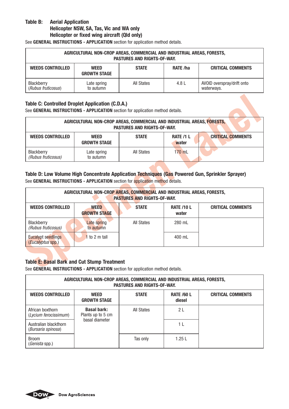# **Table B: Aerial Application Helicopter NSW, SA, Tas, Vic and WA only Helicopter or fixed wing aircraft (Qld only)**

See **GENERAL INSTRUCTIONS - APPLICATION** section for application method details.

| AGRICULTURAL NON-CROP AREAS. COMMERCIAL AND INDUSTRIAL AREAS. FORESTS.<br><b>PASTURES AND RIGHTS-OF-WAY.</b> |                                    |                   |          |                                          |
|--------------------------------------------------------------------------------------------------------------|------------------------------------|-------------------|----------|------------------------------------------|
| <b>WEEDS CONTROLLED</b>                                                                                      | <b>WEED</b><br><b>GROWTH STAGE</b> | <b>STATE</b>      | RATE /ha | <b>CRITICAL COMMENTS</b>                 |
| Blackberry<br>(Rubus fruticosus)                                                                             | Late spring<br>to autumn           | <b>All States</b> | 4.8 L    | AVOID overspray/drift onto<br>waterways. |

# **Table C: Controlled Droplet Application (C.D.A.)**

See **GENERAL INSTRUCTIONS - APPLICATION** section for application method details.

| AGRICULTURAL NON-CROP AREAS, COMMERCIAL AND INDUSTRIAL AREAS, FORESTS.<br><b>PASTURES AND RIGHTS-OF-WAY.</b> |                                    |                   |                           |                          |  |
|--------------------------------------------------------------------------------------------------------------|------------------------------------|-------------------|---------------------------|--------------------------|--|
| <b>WEEDS CONTROLLED</b>                                                                                      | <b>WEED</b><br><b>GROWTH STAGE</b> | <b>STATE</b>      | <b>RATE /1 L</b><br>water | <b>CRITICAL COMMENTS</b> |  |
| Blackberry<br>(Rubus fruticosus)                                                                             | Late spring<br>to autumn           | <b>All States</b> | $170$ mL                  |                          |  |

#### **Table D: Low Volume High Concentrate Application Techniques (Gas Powered Gun, Sprinkler Sprayer)** See **GENERAL INSTRUCTIONS - APPLICATION** section for application method details.

| AGRICULTURAL NON-CROP AREAS, COMMERCIAL AND INDUSTRIAL AREAS, FORESTS,<br><b>PASTURES AND RIGHTS-OF-WAY.</b> |                                    |                   |                            |                          |  |
|--------------------------------------------------------------------------------------------------------------|------------------------------------|-------------------|----------------------------|--------------------------|--|
| <b>WEEDS CONTROLLED</b>                                                                                      | <b>WEED</b><br><b>GROWTH STAGE</b> | <b>STATE</b>      | <b>RATE /10 L</b><br>water | <b>CRITICAL COMMENTS</b> |  |
| Blackberry<br>(Rubus fruticosus)                                                                             | Late spring<br>to autumn           | <b>All States</b> | 280 mL                     |                          |  |
| <b>Eucalypt seedlings</b><br>(Eucalyptus spp.)                                                               | to 2 m tall                        |                   | 400 mL                     |                          |  |

# **Table E: Basal Bark and Cut Stump Treatment**

| AGRICULTURAL NON-CROP AREAS, COMMERCIAL AND INDUSTRIAL AREAS, FORESTS,<br><b>PASTURES AND RIGHTS-OF-WAY.</b> |                                         |                   |                             |                          |
|--------------------------------------------------------------------------------------------------------------|-----------------------------------------|-------------------|-----------------------------|--------------------------|
| <b>WEEDS CONTROLLED</b>                                                                                      | <b>WEED</b><br><b>GROWTH STAGE</b>      | <b>STATE</b>      | <b>RATE /60 L</b><br>diesel | <b>CRITICAL COMMENTS</b> |
| African boxthorn<br>(Lycium ferocissimum)                                                                    | <b>Basal bark:</b><br>Plants up to 5 cm | <b>All States</b> | 2L                          |                          |
| Australian blackthorn<br>(Bursaria spinosa)                                                                  | basal diameter                          |                   | 11                          |                          |
| <b>Broom</b><br>(Genista spp.)                                                                               |                                         | Tas only          | 1.25L                       |                          |

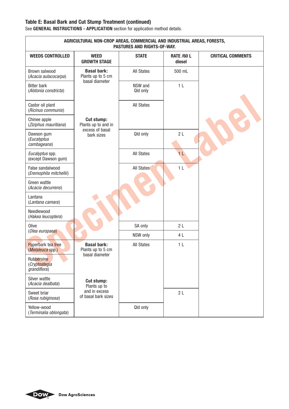# **Table E: Basal Bark and Cut Stump Treatment (continued)**

|                                                     | AGRICULTURAL NON-CROP AREAS, COMMERCIAL AND INDUSTRIAL AREAS, FORESTS,<br>PASTURES AND RIGHTS-OF-WAY. |                     |                             |                          |  |
|-----------------------------------------------------|-------------------------------------------------------------------------------------------------------|---------------------|-----------------------------|--------------------------|--|
| <b>WEEDS CONTROLLED</b>                             | <b>WEED</b><br><b>GROWTH STAGE</b>                                                                    | <b>STATE</b>        | <b>RATE /60 L</b><br>diesel | <b>CRITICAL COMMENTS</b> |  |
| Brown salwood<br>(Acacia aulacocarpa)               | <b>Basal bark:</b><br>Plants up to 5 cm<br>basal diameter                                             | <b>All States</b>   | 500 mL                      |                          |  |
| <b>Bitter bark</b><br>(Alstonia constricta)         |                                                                                                       | NSW and<br>Qld only | 1 <sub>L</sub>              |                          |  |
| Castor oil plant<br>(Ricinus communis)              |                                                                                                       | All States          |                             |                          |  |
| Chinee apple<br>(Ziziphus mauritiana)               | <b>Cut stump:</b><br>Plants up to and in<br>excess of basal                                           |                     |                             |                          |  |
| Dawson gum<br>(Eucalyptus<br>cambageana)            | bark sizes                                                                                            | Qld only            | 2L                          |                          |  |
| Eucalyptus spp.<br>(except Dawson gum)              |                                                                                                       | <b>All States</b>   | 1 <sup>L</sup>              |                          |  |
| False sandalwood<br>(Eremophila mitchellii)         |                                                                                                       | <b>All States</b>   | 1 <sub>L</sub>              |                          |  |
| Green wattle<br>(Acacia decurrens)                  |                                                                                                       |                     |                             |                          |  |
| Lantana<br>(Lantana camara)                         |                                                                                                       |                     |                             |                          |  |
| Needlewood<br>(Hakea leucoptera)                    |                                                                                                       |                     |                             |                          |  |
| Olive<br>(Olea europaea)                            |                                                                                                       | SA only             | 2L                          |                          |  |
|                                                     |                                                                                                       | NSW only            | 4 L                         |                          |  |
| Paperbark tea tree<br>(Melaleuca spp.)              | <b>Basal bark:</b><br>Plants up to 5 cm<br>basal diameter                                             | <b>All States</b>   | 1 <sup>L</sup>              |                          |  |
| Rubbervine<br>(Cryptostegia<br><i>grandiflora</i> ) |                                                                                                       |                     |                             |                          |  |
| Silver wattle<br>(Acacia dealbata)                  | Cut stump:<br>Plants up to                                                                            |                     |                             |                          |  |
| Sweet briar<br>(Rosa rubiginosa)                    | and in excess<br>of basal bark sizes                                                                  |                     | 2L                          |                          |  |
| Yellow-wood<br>(Terminalia oblongata)               |                                                                                                       | Qld only            |                             |                          |  |

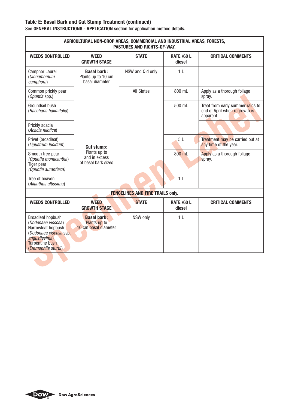# **Table E: Basal Bark and Cut Stump Treatment (continued)**

| AGRICULTURAL NON-CROP AREAS, COMMERCIAL AND INDUSTRIAL AREAS, FORESTS,<br>PASTURES AND RIGHTS-OF-WAY.                                                      |                                                            |                                         |                             |                                                                                |  |
|------------------------------------------------------------------------------------------------------------------------------------------------------------|------------------------------------------------------------|-----------------------------------------|-----------------------------|--------------------------------------------------------------------------------|--|
| <b>WEEDS CONTROLLED</b>                                                                                                                                    | <b>WEED</b><br><b>GROWTH STAGE</b>                         | <b>STATE</b>                            | <b>RATE /60 L</b><br>diesel | <b>CRITICAL COMMENTS</b>                                                       |  |
| <b>Camphor Laurel</b><br>(Cinnamomum<br>camphora)                                                                                                          | <b>Basal bark:</b><br>Plants up to 10 cm<br>basal diameter | NSW and Qld only                        | 1 <sub>L</sub>              |                                                                                |  |
| Common prickly pear<br>(Opuntia spp.)                                                                                                                      |                                                            | <b>All States</b>                       | 800 mL                      | Apply as a thorough foliage<br>spray.                                          |  |
| Groundsel bush<br>(Baccharis halimifolia)                                                                                                                  |                                                            |                                         | 500 mL                      | Treat from early summer rains to<br>end of April when regrowth is<br>apparent. |  |
| Prickly acacia<br>(Acacia nilotica)                                                                                                                        |                                                            |                                         |                             |                                                                                |  |
| Privet (broadleaf)<br>(Liqustrum lucidum)                                                                                                                  | Cut stump:                                                 |                                         | 5L                          | Treatment may be carried out at<br>any time of the year.                       |  |
| Smooth tree pear<br>(Opuntia monacantha)<br>Tiger pear<br>(Opuntia aurantiaca)                                                                             | Plants up to<br>and in excess<br>of basal bark sizes       |                                         | 800 mL                      | Apply as a thorough foliage<br>spray.                                          |  |
| Tree of heaven<br>(Ailanthus altissima)                                                                                                                    |                                                            |                                         | 1 <sub>L</sub>              |                                                                                |  |
|                                                                                                                                                            |                                                            | <b>FENCELINES AND FIRE TRAILS only.</b> |                             |                                                                                |  |
| <b>WEEDS CONTROLLED</b>                                                                                                                                    | <b>WEED</b><br><b>GROWTH STAGE</b>                         | <b>STATE</b>                            | <b>RATE /60 L</b><br>diesel | <b>CRITICAL COMMENTS</b>                                                       |  |
| Broadleaf hopbush<br>(Dodonaea viscosa)<br>Narrowleaf hopbush<br>(Dodonaea viscosa ssp.<br>angustissima)<br><b>Turpentine bush</b><br>(Eremophila sturtii) | <b>Basal bark:</b><br>Plants up to<br>10 cm basal diameter | NSW only                                | 1 <sub>L</sub>              |                                                                                |  |
|                                                                                                                                                            |                                                            |                                         |                             |                                                                                |  |

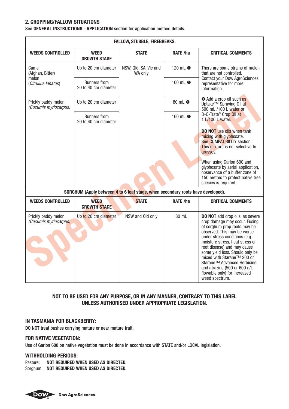# **2. CROPPING/FALLOW SITUATIONS**

See **GENERAL INSTRUCTIONS - APPLICATION** section for application method details.

|                                              | FALLOW, STUBBLE, FIREBREAKS.                                                    |                                  |                       |                                                                                                                                                                                                                                                                                                                                                                                                                             |  |  |
|----------------------------------------------|---------------------------------------------------------------------------------|----------------------------------|-----------------------|-----------------------------------------------------------------------------------------------------------------------------------------------------------------------------------------------------------------------------------------------------------------------------------------------------------------------------------------------------------------------------------------------------------------------------|--|--|
| <b>WEEDS CONTROLLED</b>                      | <b>WEED</b><br><b>GROWTH STAGE</b>                                              | <b>STATE</b>                     | RATE /ha              | <b>CRITICAL COMMENTS</b>                                                                                                                                                                                                                                                                                                                                                                                                    |  |  |
| Camel<br>(Afghan, Bitter)                    | Up to 20 cm diameter                                                            | NSW, Qld, SA, Vic and<br>WA only | 120 mL $\bullet$      | There are some strains of melon<br>that are not controlled.                                                                                                                                                                                                                                                                                                                                                                 |  |  |
| melon<br>(Citrullus lanatus)                 | <b>Runners from</b><br>20 to 40 cm diameter                                     |                                  | 160 mL <sup>O</sup>   | <b>Contact your Dow AgroSciences</b><br>representative for more<br>information                                                                                                                                                                                                                                                                                                                                              |  |  |
| Prickly paddy melon<br>(Cucumis myriocarpus) | Up to 20 cm diameter                                                            |                                  | $80$ mL $\odot$       | <b>O</b> Add a crop oil such as<br>Uptake™ Spraying Oil at<br>500 mL /100 L water or                                                                                                                                                                                                                                                                                                                                        |  |  |
|                                              | <b>Runners from</b><br>20 to 40 cm diameter                                     |                                  | 160 $mL$ <sup>O</sup> | D-C-Trate® Crop Oil at<br>$1 \angle 100$ L water.                                                                                                                                                                                                                                                                                                                                                                           |  |  |
|                                              |                                                                                 |                                  |                       | <b>DO NOT</b> use oils when tank<br>mixing with glyphosate.<br>See COMPATIBILITY section.<br>This mixture is not selective to<br>grasses.                                                                                                                                                                                                                                                                                   |  |  |
|                                              |                                                                                 |                                  |                       | When using Garlon 600 and<br>glyphosate by aerial application,<br>observance of a buffer zone of<br>150 metres to protect native tree<br>species is required.                                                                                                                                                                                                                                                               |  |  |
|                                              | SORGHUM (Apply between 4 to 6 leaf stage, when secondary roots have developed). |                                  |                       |                                                                                                                                                                                                                                                                                                                                                                                                                             |  |  |
| <b>WEEDS CONTROLLED</b>                      | <b>WEED</b><br><b>GROWTH STAGE</b>                                              | <b>STATE</b>                     | RATE /ha              | <b>CRITICAL COMMENTS</b>                                                                                                                                                                                                                                                                                                                                                                                                    |  |  |
| Prickly paddy melon<br>(Cucumis myriocarpus) | Up to 20 cm diameter                                                            | NSW and Qld only                 | 80 mL                 | <b>DO NOT</b> add crop oils, as severe<br>crop damage may occur. Fusing<br>of sorghum prop roots may be<br>observed. This may be worse<br>under stress conditions (e.g.<br>moisture stress, heat stress or<br>root disease) and may cause<br>some yield loss. Should only be<br>mixed with Starane™ 200 or<br>Starane™ Advanced Herbicide<br>and atrazine (500 or 600 q/L<br>flowable only) for increased<br>weed spectrum. |  |  |

#### **NOT TO BE USED FOR ANY PURPOSE, OR IN ANY MANNER, CONTRARY TO THIS LABEL UNLESS AUTHORISED UNDER APPROPRIATE LEGISLATION.**

#### **IN TASMANIA FOR BLACKBERRY:**

DO NOT treat bushes carrying mature or near mature fruit.

#### **FOR NATIVE VEGETATION:**

Use of Garlon 600 on native vegetation must be done in accordance with STATE and/or LOCAL legislation.

#### **WITHHOLDING PERIODS:**

Pasture: **NOT REQUIRED WHEN USED AS DIRECTED.** Sorghum: **NOT REQUIRED WHEN USED AS DIRECTED.**

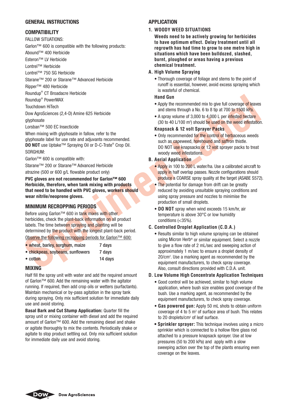#### **GENERAL INSTRUCTIONS**

#### **COMPATIBILITY**

#### FALLOW SITUATIONS:

Garlon™ 600 is compatible with the following products:

Abound™ 400 Herbicide

Esteron™ LV Herbicide

Lontrel™ Herbicide

Lontrel™ 750 SG Herbicide

Starane™ 200 or Starane™ Advanced Herbicide

Ripper™ 480 Herbicide

Roundup® CT Broadacre Herbicide

Roundup® PowerMAX

Touchdown HiTech

Dow AgroSciences (2,4-D) Amine 625 Herbicide

glyphosate

Lorsban™ 500 EC Insecticide

When mixing with glyphosate in fallow, refer to the glyphosate label for use rate and adjuvants recommended. **DO NOT** use Uptake™ Spraying Oil or D-C-Trate® Crop Oil. SORGHUM:

Garlon™ 600 is compatible with:

Starane™ 200 or Starane™ Advanced Herbicide

atrazine (500 or 600 g/L flowable product only)

**PVC gloves are not recommended for Garlon™ 600 Herbicide, therefore, when tank mixing with products that need to be handled with PVC gloves, workers should wear nitrile/neoprene gloves.**

#### **MINIMUM RECROPPING PERIODS**

Before using Garlon™ 600 in tank mixes with other herbicides, check the plant-back information on all product labels. The time between spraying and planting will be determined by the product with the longest plant-back period.

|  |                                                                                                                 | Observe the following recropping periods for Garlon™ 600: |  |
|--|-----------------------------------------------------------------------------------------------------------------|-----------------------------------------------------------|--|
|  | the contract of the contract of the contract of the contract of the contract of the contract of the contract of |                                                           |  |

| • wheat, barley, sorghum, maize   | / davs  |  |
|-----------------------------------|---------|--|
| • chickpeas, soybeans, sunflowers | 7 davs  |  |
| $\bullet$ cotton                  | 14 davs |  |

#### **MIXING**

Half fill the spray unit with water and add the required amount of Garlon™ 600. Add the remaining water with the agitator running. If required, then add crop oils or wetters (surfactants). Maintain mechanical or by-pass agitation in the spray tank during spraying. Only mix sufficient solution for immediate daily use and avoid storing.

**Basal Bark and Cut Stump Application:** Quarter fill the spray unit or mixing container with diesel and add the required amount of Garlon™ 600. Add the remaining diesel and shake or agitate thoroughly to mix the contents. Periodically shake or agitate to stop product settling out. Only mix sufficient solution for immediate daily use and avoid storing.

#### **APPLICATION**

#### **1. WOODY WEED SITUATIONS**

**Weeds need to be actively growing for herbicides to have optimum effect. Delay treatment until all regrowth has had time to grow to one metre high in situations which have been bulldozed, slashed, burnt, ploughed or areas having a previous chemical treatment.**

#### **A. High Volume Spraying**

 • Thorough coverage of foliage and stems to the point of runoff is essential, however, avoid excess spraying which is wasteful of chemical.

#### **Hand Gun**

- Apply the recommended mix to give full coverage of leaves and stems through a No. 6 to 8 tip at 700 to 1500 kPa.
- A spray volume of 3,000 to 4,000 L per infested hectare (30 to 40 L/100 m<sup>2</sup>) should be used on the weed infestation.

#### **Knapsack & 12 volt Sprayer Packs**

• Only recommended for the control of herbaceous weeds such as capeweed, horehound and saffron thistle. DO NOT use knapsacks or 12 volt sprayer packs to treat woody weed infestations.

#### **B. Aerial Application**

- Apply in 100 to 200 L water/ha. Use a calibrated aircraft to apply in half overlap passes. Nozzle configurations should produce a COARSE spray quality at the target (ASABE S572).
- The potential for damage from drift can be greatly reduced by avoiding unsuitable spraying conditions and using spray pressure and nozzles to minimise the production of small droplets.
- **DO NOT** spray when wind exceeds 15 km/hr, air temperature is above 30°C or low humidity conditions (<35%).

#### **C. Controlled Droplet Application (C.D.A.)**

 • Results similar to high volume spraying can be obtained using Micron Herb® or similar equipment. Select a nozzle to give a flow rate of 2 mL/sec and sweeping action of approximately 1 m/sec to ensure a droplet density of 20/cm2 . Use a marking agent as recommended by the equipment manufacturers, to check spray coverage. Also, consult directions provided with C.D.A. unit.

#### **D. Low Volume High Concentrate Application Techniques**

- Good control will be achieved, similar to high volume application, where bush size enables good coverage of the bush. Use a marking agent, as recommended by the equipment manufacturers, to check spray coverage.
- **Gas powered gun:** Apply 50 mL shots to obtain uniform coverage of  $4$  to  $5$  m<sup>2</sup> of surface area of bush. This relates to 20 droplets/cm<sup>2</sup> of leaf surface.
- **Sprinkler sprayer:** This technique involves using a micro sprinkler which is connected to a hollow fibre glass rod attached to a pressure knapsack sprayer. Use at low pressures (50 to 200 kPa) and apply with a slow sweeping action over the top of the plants ensuring even coverage on the leaves.

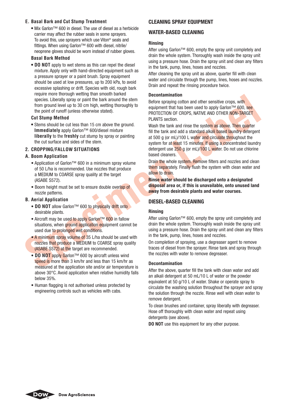#### **E. Basal Bark and Cut Stump Treatment**

**•** Mix Garlon™ 600 in diesel. The use of diesel as a herbicide carrier may affect the rubber seals in some sprayers. To avoid this, use sprayers which use Viton® seals and fittings. When using Garlon™ 600 with diesel, nitrile/ neoprene gloves should be worn instead of rubber gloves.

#### **Basal Bark Method**

 **• DO NOT** apply to wet stems as this can repel the diesel mixture. Apply only with hand-directed equipment such as a pressure sprayer or a paint brush. Spray equipment should be used at low pressures, up to 200 kPa, to avoid excessive splashing or drift. Species with old, rough bark require more thorough wetting than smooth barked species. Liberally spray or paint the bark around the stem from ground level up to 30 cm high, wetting thoroughly to the point of runoff (unless otherwise stated).

#### **Cut Stump Method**

 **•** Stems should be cut less than 15 cm above the ground. **Immediately** apply Garlon™ 600/diesel mixture **liberally** to the **freshly** cut stump by spray or painting the cut surface and sides of the stem.

#### **2. CROPPING/FALLOW SITUATIONS**

# **A. Boom Application**

- Application of Garlon™ 600 in a minimum spray volume of 50 L/ha is recommended. Use nozzles that produce a MEDIUM to COARSE spray quality at the target (ASABE S572).
- Boom height must be set to ensure double overlap of nozzle patterns.

#### **B. Aerial Application**

- **DO NOT** allow Garlon™ 600 to physically drift onto desirable plants.
- Aircraft may be used to apply Garlon™ 600 in fallow situations, when ground application equipment cannot be used due to prolonged wet conditions.
- A minimum spray volume of 35 L/ha should be used with nozzles that produce a MEDIUM to COARSE spray quality (ASABE S572) at the target are recommended.
- **DO NOT** apply Garlon™ 600 by aircraft unless wind speed is more than 3 km/hr and less than 15 km/hr as measured at the application site and/or air temperature is above 30°C. Avoid application when relative humidity falls below 35%.
- Human flagging is not authorised unless protected by engineering controls such as vehicles with cabs.

# **CLEANING SPRAY FOUIPMENT**

# WATER-RASED CLEANING

#### **Rinsing**

After using Garlon™ 600, empty the spray unit completely and drain the whole system. Thoroughly wash inside the spray unit using a pressure hose. Drain the spray unit and clean any filters in the tank, pump, lines, hoses and nozzles.

After cleaning the spray unit as above, quarter fill with clean water and circulate through the pump, lines, hoses and nozzles. Drain and repeat the rinsing procedure twice.

#### **Decontamination**

Before spraying cotton and other sensitive crops, with equipment that has been used to apply Garlon™ 600, see PROTECTION OF CROPS, NATIVE AND OTHER NON-TARGET PI ANTS section

Wash the tank and rinse the system as above. Then quarter fill the tank and add a standard alkali based laundry detergent at 500 g (or mL)/100 L water and circulate throughout the system for at least 15 minutes. If using a concentrated laundry detergent use 250 g (or mL)/100 L water. Do not use chlorine based cleaners.

Drain the whole system. Remove filters and nozzles and clean them separately. Finally flush the system with clean water and allow to drain.

**Rinse water should be discharged onto a designated disposal area or, if this is unavailable, onto unused land away from desirable plants and water courses.**

#### **DIESEL-BASED CLEANING**

#### **Rinsing**

After using Garlon™ 600, empty the spray unit completely and drain the whole system. Thoroughly wash inside the spray unit using a pressure hose. Drain the spray unit and clean any filters in the tank, pump, lines, hoses and nozzles.

On completion of spraying, use a degreaser agent to remove traces of diesel from the sprayer. Rinse tank and spray through the nozzles with water to remove degreaser.

#### **Decontamination**

After the above, quarter fill the tank with clean water and add an alkali detergent at 50 mL/10 L of water or the powder equivalent at 50 g/10 L of water. Shake or operate spray to circulate the washing solution throughout the sprayer and spray the solution through the nozzle. Rinse well with clean water to remove detergent.

To clean brushes and container, spray liberally with degreaser. Hose off thoroughly with clean water and repeat using detergents (see above).

**DO NOT** use this equipment for any other purpose.